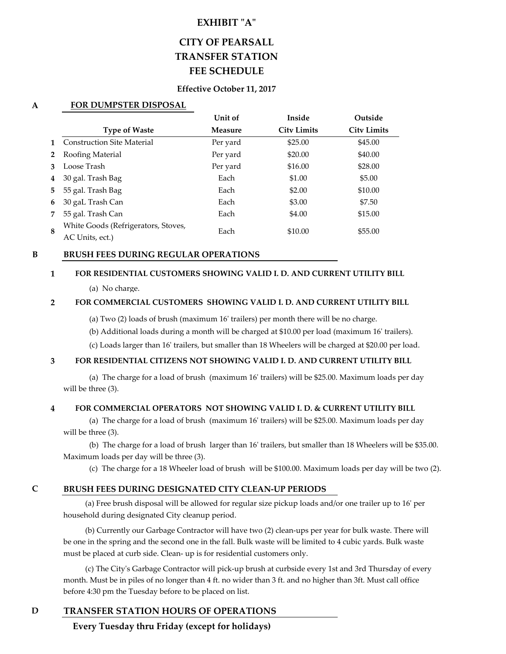# **EXHIBIT "A"**

# **CITY OF PEARSALL TRANSFER STATION FEE SCHEDULE**

## **Effective October 11, 2017**

## **A FOR DUMPSTER DISPOSAL**

|             |                                     | Unit of        | Inside             | Outside            |
|-------------|-------------------------------------|----------------|--------------------|--------------------|
|             | <b>Type of Waste</b>                | <b>Measure</b> | <b>City Limits</b> | <b>City Limits</b> |
| $\mathbf 1$ | <b>Construction Site Material</b>   | Per yard       | \$25.00            | \$45.00            |
| $2^{\circ}$ | Roofing Material                    | Per yard       | \$20.00            | \$40.00            |
| 3           | Loose Trash                         | Per yard       | \$16.00            | \$28.00            |
| 4           | 30 gal. Trash Bag                   | Each           | \$1.00             | \$5.00             |
| 5           | 55 gal. Trash Bag                   | Each           | \$2.00             | \$10.00            |
| 6           | 30 gaL Trash Can                    | Each           | \$3.00             | \$7.50             |
| 7           | 55 gal. Trash Can                   | Each           | \$4.00             | \$15.00            |
| 8           | White Goods (Refrigerators, Stoves, | Each           | \$10.00            | \$55.00            |
|             | AC Units, ect.)                     |                |                    |                    |

#### **B BRUSH FEES DURING REGULAR OPERATIONS**

#### **1 FOR RESIDENTIAL CUSTOMERS SHOWING VALID I. D. AND CURRENT UTILITY BILL**

(a) No charge.

#### **2 FOR COMMERCIAL CUSTOMERS SHOWING VALID I. D. AND CURRENT UTILITY BILL**

(a) Two (2) loads of brush (maximum 16' trailers) per month there will be no charge.

(b) Additional loads during a month will be charged at \$10.00 per load (maximum 16' trailers).

(c) Loads larger than 16' trailers, but smaller than 18 Wheelers will be charged at \$20.00 per load.

#### **3 FOR RESIDENTIAL CITIZENS NOT SHOWING VALID I. D. AND CURRENT UTILITY BILL**

 (a) The charge for a load of brush (maximum 16' trailers) will be \$25.00. Maximum loads per day will be three (3).

#### **4 FOR COMMERCIAL OPERATORS NOT SHOWING VALID I. D. & CURRENT UTILITY BILL**

 (a) The charge for a load of brush (maximum 16' trailers) will be \$25.00. Maximum loads per day will be three (3).

 (b) The charge for a load of brush larger than 16' trailers, but smaller than 18 Wheelers will be \$35.00. Maximum loads per day will be three (3).

(c) The charge for a 18 Wheeler load of brush will be \$100.00. Maximum loads per day will be two (2).

## **C BRUSH FEES DURING DESIGNATED CITY CLEAN-UP PERIODS**

 (a) Free brush disposal will be allowed for regular size pickup loads and/or one trailer up to 16' per household during designated City cleanup period.

 (b) Currently our Garbage Contractor will have two (2) clean-ups per year for bulk waste. There will be one in the spring and the second one in the fall. Bulk waste will be limited to 4 cubic yards. Bulk waste must be placed at curb side. Clean- up is for residential customers only.

 (c) The City's Garbage Contractor will pick-up brush at curbside every 1st and 3rd Thursday of every month. Must be in piles of no longer than 4 ft. no wider than 3 ft. and no higher than 3ft. Must call office before 4:30 pm the Tuesday before to be placed on list.

# **D TRANSFER STATION HOURS OF OPERATIONS**

 **Every Tuesday thru Friday (except for holidays)**